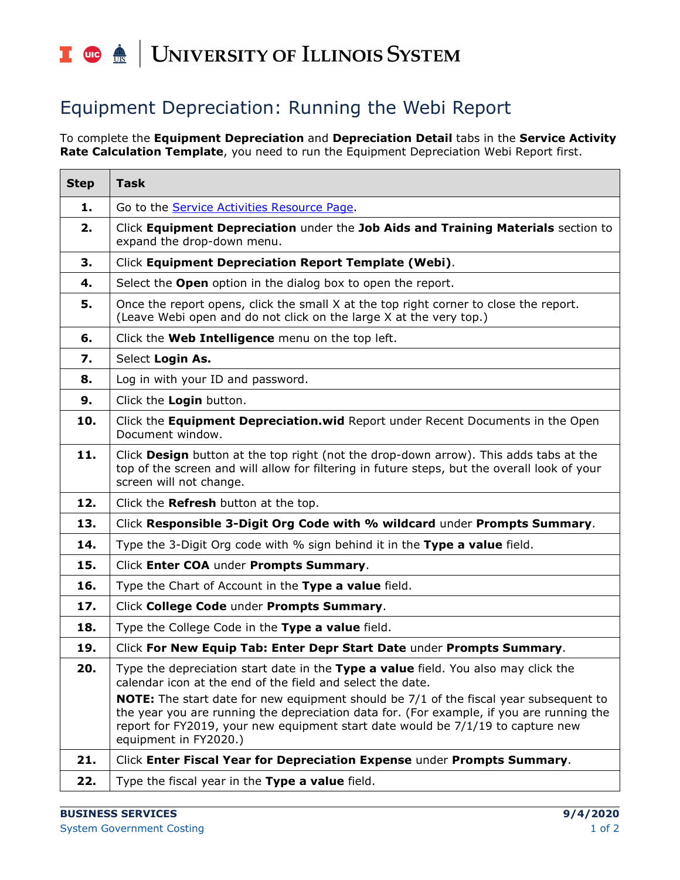## UNIVERSITY OF ILLINOIS SYSTEM T due de

## Equipment Depreciation: Running the Webi Report

To complete the **Equipment Depreciation** and **Depreciation Detail** tabs in the **Service Activity Rate Calculation Template**, you need to run the Equipment Depreciation Webi Report first.

| <b>Step</b> | <b>Task</b>                                                                                                                                                                                                                                                                                                                                                                                                                                              |
|-------------|----------------------------------------------------------------------------------------------------------------------------------------------------------------------------------------------------------------------------------------------------------------------------------------------------------------------------------------------------------------------------------------------------------------------------------------------------------|
| 1.          | Go to the Service Activities Resource Page.                                                                                                                                                                                                                                                                                                                                                                                                              |
| 2.          | Click Equipment Depreciation under the Job Aids and Training Materials section to<br>expand the drop-down menu.                                                                                                                                                                                                                                                                                                                                          |
| 3.          | Click Equipment Depreciation Report Template (Webi).                                                                                                                                                                                                                                                                                                                                                                                                     |
| 4.          | Select the Open option in the dialog box to open the report.                                                                                                                                                                                                                                                                                                                                                                                             |
| 5.          | Once the report opens, click the small X at the top right corner to close the report.<br>(Leave Webi open and do not click on the large X at the very top.)                                                                                                                                                                                                                                                                                              |
| 6.          | Click the Web Intelligence menu on the top left.                                                                                                                                                                                                                                                                                                                                                                                                         |
| 7.          | Select Login As.                                                                                                                                                                                                                                                                                                                                                                                                                                         |
| 8.          | Log in with your ID and password.                                                                                                                                                                                                                                                                                                                                                                                                                        |
| 9.          | Click the Login button.                                                                                                                                                                                                                                                                                                                                                                                                                                  |
| 10.         | Click the Equipment Depreciation.wid Report under Recent Documents in the Open<br>Document window.                                                                                                                                                                                                                                                                                                                                                       |
| 11.         | Click Design button at the top right (not the drop-down arrow). This adds tabs at the<br>top of the screen and will allow for filtering in future steps, but the overall look of your<br>screen will not change.                                                                                                                                                                                                                                         |
| 12.         | Click the Refresh button at the top.                                                                                                                                                                                                                                                                                                                                                                                                                     |
| 13.         | Click Responsible 3-Digit Org Code with % wildcard under Prompts Summary.                                                                                                                                                                                                                                                                                                                                                                                |
| 14.         | Type the 3-Digit Org code with % sign behind it in the Type a value field.                                                                                                                                                                                                                                                                                                                                                                               |
| 15.         | Click Enter COA under Prompts Summary.                                                                                                                                                                                                                                                                                                                                                                                                                   |
| 16.         | Type the Chart of Account in the Type a value field.                                                                                                                                                                                                                                                                                                                                                                                                     |
| 17.         | Click College Code under Prompts Summary.                                                                                                                                                                                                                                                                                                                                                                                                                |
| 18.         | Type the College Code in the Type a value field.                                                                                                                                                                                                                                                                                                                                                                                                         |
| 19.         | Click For New Equip Tab: Enter Depr Start Date under Prompts Summary.                                                                                                                                                                                                                                                                                                                                                                                    |
| 20.         | Type the depreciation start date in the Type a value field. You also may click the<br>calendar icon at the end of the field and select the date.<br><b>NOTE:</b> The start date for new equipment should be 7/1 of the fiscal year subsequent to<br>the year you are running the depreciation data for. (For example, if you are running the<br>report for FY2019, your new equipment start date would be 7/1/19 to capture new<br>equipment in FY2020.) |
| 21.         | Click Enter Fiscal Year for Depreciation Expense under Prompts Summary.                                                                                                                                                                                                                                                                                                                                                                                  |
| 22.         | Type the fiscal year in the Type a value field.                                                                                                                                                                                                                                                                                                                                                                                                          |